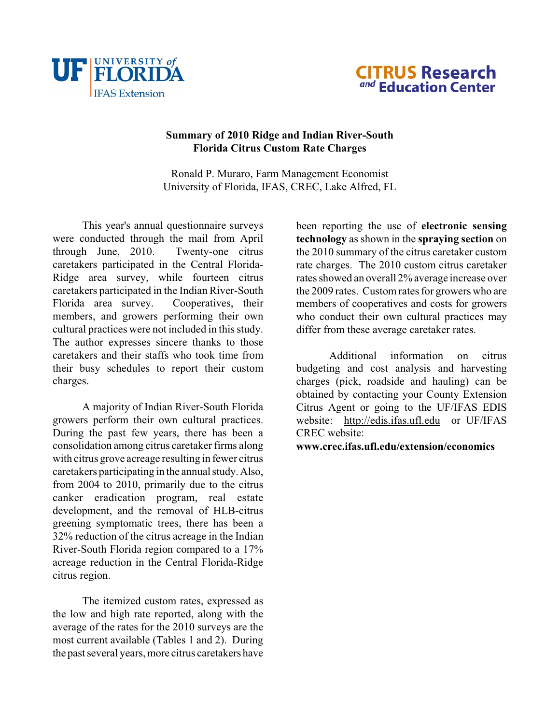



## **Summary of 2010 Ridge and Indian River-South Florida Citrus Custom Rate Charges**

Ronald P. Muraro, Farm Management Economist University of Florida, IFAS, CREC, Lake Alfred, FL

This year's annual questionnaire surveys were conducted through the mail from April through June, 2010. Twenty-one citrus caretakers participated in the Central Florida-Ridge area survey, while fourteen citrus caretakers participated in the Indian River-South Florida area survey. Cooperatives, their members, and growers performing their own cultural practices were not included in this study. The author expresses sincere thanks to those caretakers and their staffs who took time from their busy schedules to report their custom charges.

A majority of Indian River-South Florida growers perform their own cultural practices. During the past few years, there has been a consolidation among citrus caretaker firms along with citrus grove acreage resulting in fewer citrus caretakers participating in the annual study. Also, from 2004 to 2010, primarily due to the citrus canker eradication program, real estate development, and the removal of HLB-citrus greening symptomatic trees, there has been a 32% reduction of the citrus acreage in the Indian River-South Florida region compared to a 17% acreage reduction in the Central Florida-Ridge citrus region.

<span id="page-0-0"></span>The itemized custom rates, expressed as the low and high rate reported, along with the average of the rates for the 2010 surveys are the most current available (Tables 1 and 2). During the past several years, more citrus caretakers have been reporting the use of **electronic sensing technology** as shown in the **spraying section** on the 2010 summary of the citrus caretaker custom rate charges. The 2010 custom citrus caretaker rates showed an overall 2% average increase over the 2009 rates. Custom rates for growers who are members of cooperatives and costs for growers who conduct their own cultural practices may differ from these average caretaker rates.

Additional information on citrus budgeting and cost analysis and harvesting charges (pick, roadside and hauling) can be obtained by contacting your County Extension Citrus Agent or going to the UF/IFAS EDIS website: [http://edis.ifas.ufl.edu](#page-0-0) or UF/IFAS CREC website:

## **[www.crec.ifas.ufl.edu/extension/economics](http://www.crec.ifas.ufl.edu/extension/economics)**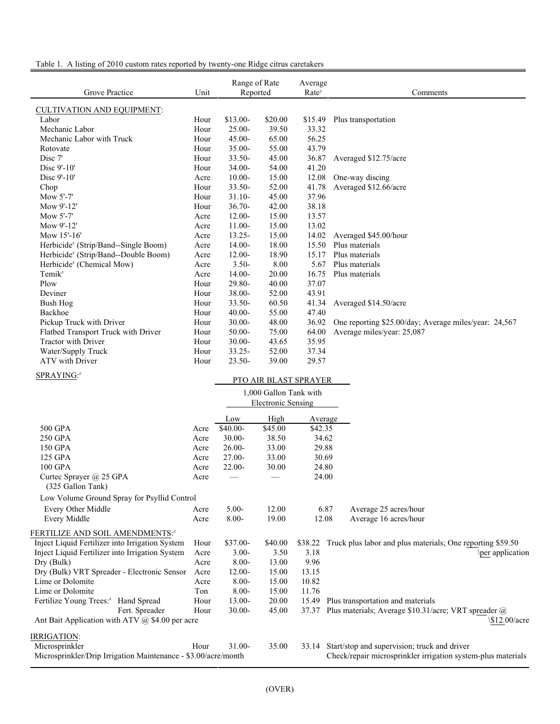| Grove Practice                                                 | Unit | Range of Rate<br>Reported       |                           | Average<br>Rate <sup>y</sup> | Comments                                                     |
|----------------------------------------------------------------|------|---------------------------------|---------------------------|------------------------------|--------------------------------------------------------------|
| <b>CULTIVATION AND EQUIPMENT:</b>                              |      |                                 |                           |                              |                                                              |
| Labor                                                          | Hour | \$13.00-                        | \$20.00                   | \$15.49                      | Plus transportation                                          |
| Mechanic Labor                                                 | Hour | $25.00 -$                       | 39.50                     | 33.32                        |                                                              |
| Mechanic Labor with Truck                                      | Hour | $45.00 -$                       | 65.00                     | 56.25                        |                                                              |
| Rotovate                                                       | Hour | 35.00-                          | 55.00                     | 43.79                        |                                                              |
| Disc 7'                                                        | Hour | 33.50-                          | 45.00                     | 36.87                        | Averaged \$12.75/acre                                        |
| Disc 9'-10'                                                    | Hour | 34.00-                          | 54.00                     | 41.20                        |                                                              |
| Disc 9'-10'                                                    | Acre | $10.00 -$                       | 15.00                     | 12.08                        | One-way discing                                              |
| Chop                                                           | Hour | 33.50-                          | 52.00                     | 41.78                        | Averaged \$12.66/acre                                        |
| Mow 5'-7'                                                      | Hour | $31.10 -$                       | 45.00                     | 37.96                        |                                                              |
| Mow 9'-12'                                                     | Hour | $36.70 -$                       | 42.00                     | 38.18                        |                                                              |
| Mow 5'-7'                                                      | Acre | $12.00 -$                       | 15.00                     | 13.57                        |                                                              |
| Mow 9'-12'                                                     | Acre | 11.00-                          | 15.00                     | 13.02                        |                                                              |
| Mow 15'-16'                                                    | Acre | $13.25 -$                       | 15.00                     | 14.02                        | Averaged \$45.00/hour                                        |
| Herbicide <sup>z</sup> (Strip/Band--Single Boom)               | Acre | 14.00-                          | 18.00                     | 15.50                        | Plus materials                                               |
| Herbicide <sup>z</sup> (Strip/Band--Double Boom)               | Acre | $12.00 -$                       | 18.90                     | 15.17                        | Plus materials                                               |
| Herbicide <sup>z</sup> (Chemical Mow)                          | Acre | $3.50 -$                        | 8.00                      | 5.67                         | Plus materials                                               |
| Temik <sup>z</sup>                                             | Acre | $14.00 -$                       | 20.00                     | 16.75                        | Plus materials                                               |
| Plow                                                           | Hour | 29.80-                          | 40.00                     | 37.07                        |                                                              |
| Deviner                                                        | Hour | 38.00-                          | 52.00                     | 43.91                        |                                                              |
| <b>Bush Hog</b>                                                | Hour | 33.50-                          | 60.50                     | 41.34                        | Averaged \$14.50/acre                                        |
| Backhoe                                                        | Hour | $40.00 -$                       | 55.00                     | 47.40                        |                                                              |
| Pickup Truck with Driver                                       | Hour | $30.00 -$                       | 48.00                     | 36.92                        | One reporting \$25.00/day; Average miles/year: 24,567        |
| Flatbed Transport Truck with Driver                            | Hour | 50.00-                          | 75.00                     | 64.00                        | Average miles/year: 25,087                                   |
| Tractor with Driver                                            | Hour | $30.00 -$                       | 43.65                     | 35.95                        |                                                              |
| Water/Supply Truck                                             | Hour | $33.25 -$                       | 52.00                     | 37.34                        |                                                              |
| ATV with Driver                                                | Hour | $23.50 -$                       | 39.00                     | 29.57                        |                                                              |
| SPRAYING:2                                                     |      |                                 | PTO AIR BLAST SPRAYER     |                              |                                                              |
|                                                                |      |                                 |                           |                              |                                                              |
|                                                                |      |                                 | 1,000 Gallon Tank with    |                              |                                                              |
|                                                                |      |                                 | <b>Electronic Sensing</b> |                              |                                                              |
|                                                                |      | Low                             | High                      | Average                      |                                                              |
| 500 GPA                                                        | Acre | \$40.00-                        | \$45.00                   | \$42.35                      |                                                              |
| 250 GPA                                                        | Acre | $30.00 -$                       | 38.50                     | 34.62                        |                                                              |
| 150 GPA                                                        | Acre | $26.00 -$                       | 33.00                     | 29.88                        |                                                              |
| 125 GPA                                                        | Acre | 27.00-                          | 33.00                     | 30.69                        |                                                              |
| 100 GPA                                                        | Acre | 22.00-                          | 30.00                     | 24.80                        |                                                              |
| Curtec Sprayer @ 25 GPA                                        | Acre | $\hspace{0.1mm}-\hspace{0.1mm}$ | $\hspace{0.05cm}$         | 24.00                        |                                                              |
| (325 Gallon Tank)                                              |      |                                 |                           |                              |                                                              |
| Low Volume Ground Spray for Psyllid Control                    |      |                                 |                           |                              |                                                              |
| Every Other Middle                                             | Acre | $5.00 -$                        | 12.00                     | 6.87                         | Average 25 acres/hour                                        |
| Every Middle                                                   | Acre | $8.00 -$                        | 19.00                     | 12.08                        | Average 16 acres/hour                                        |
| FERTILIZE AND SOIL AMENDMENTS: <sup>2</sup>                    |      |                                 |                           |                              |                                                              |
| Inject Liquid Fertilizer into Irrigation System                | Hour | \$37.00-                        | \$40.00                   | \$38.22                      | Truck plus labor and plus materials; One reporting \$59.50   |
| Inject Liquid Fertilizer into Irrigation System                | Acre | $3.00 -$                        | 3.50                      | 3.18                         | per application                                              |
| Dry (Bulk)                                                     | Acre | $8.00 -$                        | 13.00                     | 9.96                         |                                                              |
| Dry (Bulk) VRT Spreader - Electronic Sensor                    | Acre | $12.00 -$                       | 15.00                     | 13.15                        |                                                              |
| Lime or Dolomite                                               | Acre | $8.00 -$                        | 15.00                     | 10.82                        |                                                              |
| Lime or Dolomite                                               | Ton  | $8.00 -$                        | 15.00                     | 11.76                        |                                                              |
| Fertilize Young Trees: <sup>2</sup> Hand Spread                | Hour | 13.00-                          | 20.00                     | 15.49                        | Plus transportation and materials                            |
| Fert. Spreader                                                 | Hour | $30.00 -$                       | 45.00                     | 37.37                        | Plus materials; Average \$10.31/acre; VRT spreader @         |
| Ant Bait Application with ATV $\omega$ \$4.00 per acre         |      |                                 |                           |                              | \\$12.00/acre                                                |
| <u>IRRIGATION:</u>                                             |      |                                 |                           |                              |                                                              |
| Microsprinkler                                                 | Hour | 31.00-                          | 35.00                     |                              | 33.14 Start/stop and supervision; truck and driver           |
| Microsprinkler/Drip Irrigation Maintenance - \$3.00/acre/month |      |                                 |                           |                              | Check/repair microsprinkler irrigation system-plus materials |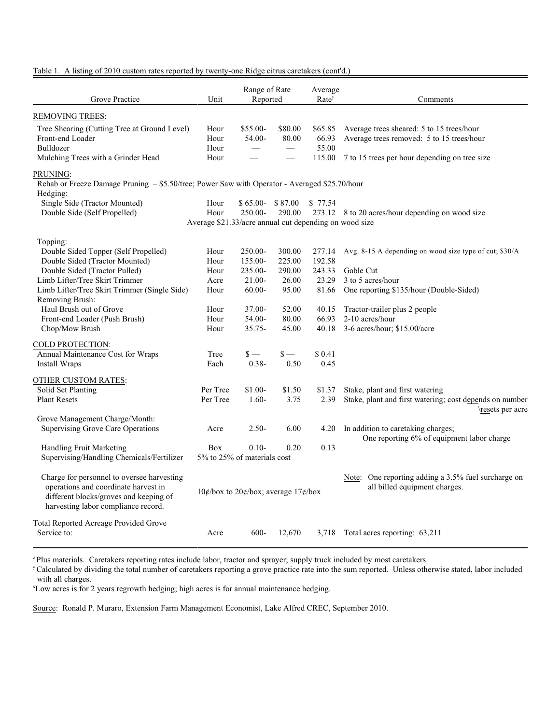## Table 1. A listing of 2010 custom rates reported by twenty-one Ridge citrus caretakers (cont'd.)

| Grove Practice                                                                                                                                                      | Unit                                                   | Range of Rate<br>Reported |               | Average<br>Rate <sup>y</sup> | Comments                                                                             |  |
|---------------------------------------------------------------------------------------------------------------------------------------------------------------------|--------------------------------------------------------|---------------------------|---------------|------------------------------|--------------------------------------------------------------------------------------|--|
| <b>REMOVING TREES:</b>                                                                                                                                              |                                                        |                           |               |                              |                                                                                      |  |
| Tree Shearing (Cutting Tree at Ground Level)                                                                                                                        | Hour                                                   | $$55.00-$                 | \$80.00       | \$65.85                      | Average trees sheared: 5 to 15 trees/hour                                            |  |
| Front-end Loader                                                                                                                                                    | Hour                                                   | 54.00-                    | 80.00         | 66.93                        | Average trees removed: 5 to 15 trees/hour                                            |  |
| Bulldozer                                                                                                                                                           | Hour                                                   | $\equiv$                  |               | 55.00                        |                                                                                      |  |
| Mulching Trees with a Grinder Head                                                                                                                                  | Hour                                                   |                           |               | 115.00                       | 7 to 15 trees per hour depending on tree size                                        |  |
| PRUNING:                                                                                                                                                            |                                                        |                           |               |                              |                                                                                      |  |
| Rehab or Freeze Damage Pruning - \$5.50/tree; Power Saw with Operator - Averaged \$25.70/hour<br>Hedging:                                                           |                                                        |                           |               |                              |                                                                                      |  |
| Single Side (Tractor Mounted)                                                                                                                                       | Hour                                                   | $$65.00-$ \$ 87.00        |               | \$ 77.54                     |                                                                                      |  |
| Double Side (Self Propelled)                                                                                                                                        | Hour                                                   | 250.00-                   | 290.00        |                              | 273.12 8 to 20 acres/hour depending on wood size                                     |  |
|                                                                                                                                                                     | Average \$21.33/acre annual cut depending on wood size |                           |               |                              |                                                                                      |  |
|                                                                                                                                                                     |                                                        |                           |               |                              |                                                                                      |  |
| Topping:                                                                                                                                                            |                                                        |                           |               |                              |                                                                                      |  |
| Double Sided Topper (Self Propelled)<br>Double Sided (Tractor Mounted)                                                                                              | Hour                                                   | 250.00-                   | 300.00        | 277.14                       | Avg. 8-15 A depending on wood size type of cut; \$30/A                               |  |
|                                                                                                                                                                     | Hour                                                   | 155.00-                   | 225.00        | 192.58                       |                                                                                      |  |
| Double Sided (Tractor Pulled)                                                                                                                                       | Hour                                                   | 235.00-                   | 290.00        | 243.33                       | Gable Cut                                                                            |  |
| Limb Lifter/Tree Skirt Trimmer                                                                                                                                      | Acre                                                   | $21.00 -$                 | 26.00         | 23.29                        | 3 to 5 acres/hour                                                                    |  |
| Limb Lifter/Tree Skirt Trimmer (Single Side)                                                                                                                        | Hour                                                   | $60.00-$                  | 95.00         | 81.66                        | One reporting \$135/hour (Double-Sided)                                              |  |
| Removing Brush:                                                                                                                                                     |                                                        |                           |               |                              |                                                                                      |  |
| Haul Brush out of Grove                                                                                                                                             | Hour                                                   | $37.00 -$                 | 52.00         | 40.15                        | Tractor-trailer plus 2 people                                                        |  |
| Front-end Loader (Push Brush)                                                                                                                                       | Hour                                                   | 54.00-                    | 80.00         | 66.93                        | 2-10 acres/hour                                                                      |  |
| Chop/Mow Brush                                                                                                                                                      | Hour                                                   | $35.75 -$                 | 45.00         | 40.18                        | 3-6 acres/hour; \$15.00/acre                                                         |  |
| COLD PROTECTION:                                                                                                                                                    |                                                        |                           |               |                              |                                                                                      |  |
| Annual Maintenance Cost for Wraps                                                                                                                                   | Tree                                                   | $\mathbf{s}$ —            | $\mathsf{s}-$ | \$0.41                       |                                                                                      |  |
| Install Wraps                                                                                                                                                       | Each                                                   | $0.38 -$                  | 0.50          | 0.45                         |                                                                                      |  |
| <b>OTHER CUSTOM RATES:</b>                                                                                                                                          |                                                        |                           |               |                              |                                                                                      |  |
| Solid Set Planting                                                                                                                                                  | Per Tree                                               | $$1.00-$                  | \$1.50        | \$1.37                       | Stake, plant and first watering                                                      |  |
| <b>Plant Resets</b>                                                                                                                                                 | Per Tree                                               | $1.60-$                   | 3.75          | 2.39                         | Stake, plant and first watering; cost depends on number<br>resets per acre           |  |
| Grove Management Charge/Month:                                                                                                                                      |                                                        |                           |               |                              |                                                                                      |  |
| Supervising Grove Care Operations                                                                                                                                   | Acre                                                   | $2.50-$                   | 6.00          | 4.20                         | In addition to caretaking charges;<br>One reporting 6% of equipment labor charge     |  |
| Handling Fruit Marketing                                                                                                                                            | Box                                                    | $0.10-$                   | 0.20          | 0.13                         |                                                                                      |  |
| Supervising/Handling Chemicals/Fertilizer                                                                                                                           | 5% to 25% of materials cost                            |                           |               |                              |                                                                                      |  |
| Charge for personnel to oversee harvesting<br>operations and coordinate harvest in<br>different blocks/groves and keeping of<br>harvesting labor compliance record. | $10¢$ /box to $20¢$ /box; average $17¢$ /box           |                           |               |                              | Note: One reporting adding a 3.5% fuel surcharge on<br>all billed equipment charges. |  |
| Total Reported Acreage Provided Grove<br>Service to:                                                                                                                | Acre                                                   | $600-$                    | 12,670        |                              | 3,718 Total acres reporting: 63,211                                                  |  |

<sup>z</sup> Plus materials. Caretakers reporting rates include labor, tractor and sprayer; supply truck included by most caretakers.

<sup>y</sup> Calculated by dividing the total number of caretakers reporting a grove practice rate into the sum reported. Unless otherwise stated, labor included with all charges.

<sup>x</sup>Low acres is for 2 years regrowth hedging; high acres is for annual maintenance hedging.

Source: Ronald P. Muraro, Extension Farm Management Economist, Lake Alfred CREC, September 2010.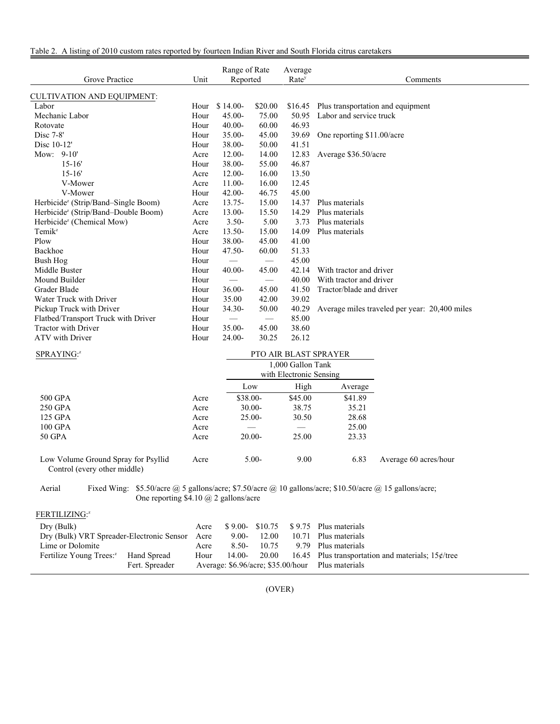| Grove Practice                                  | Unit |                                 | Range of Rate<br>Average<br>Reported<br>Rate <sup>y</sup> |         | Comments                                      |
|-------------------------------------------------|------|---------------------------------|-----------------------------------------------------------|---------|-----------------------------------------------|
| <b>CULTIVATION AND EQUIPMENT:</b>               |      |                                 |                                                           |         |                                               |
| Labor                                           | Hour | $$14.00-$                       | \$20.00                                                   | \$16.45 | Plus transportation and equipment             |
| Mechanic Labor                                  | Hour | $45.00 -$                       | 75.00                                                     | 50.95   | Labor and service truck                       |
| Rotovate                                        | Hour | $40.00 -$                       | 60.00                                                     | 46.93   |                                               |
| Disc $7-8$ '                                    | Hour | $35.00 -$                       | 45.00                                                     | 39.69   | One reporting \$11,00/acre                    |
| Disc 10-12'                                     | Hour | 38.00-                          | 50.00                                                     | 41.51   |                                               |
| Mow: 9-10'                                      | Acre | $12.00 -$                       | 14.00                                                     | 12.83   | Average \$36.50/acre                          |
| $15 - 16'$                                      | Hour | 38.00-                          | 55.00                                                     | 46.87   |                                               |
| $15 - 16'$                                      | Acre | $12.00-$                        | 16.00                                                     | 13.50   |                                               |
| V-Mower                                         | Acre | $11.00 -$                       | 16.00                                                     | 12.45   |                                               |
| V-Mower                                         | Hour | $42.00 -$                       | 46.75                                                     | 45.00   |                                               |
| Herbicide <sup>z</sup> (Strip/Band–Single Boom) | Acre | $13.75 -$                       | 15.00                                                     | 14.37   | Plus materials                                |
| Herbicide <sup>z</sup> (Strip/Band-Double Boom) | Acre | $13.00 -$                       | 15.50                                                     | 14.29   | Plus materials                                |
| Herbicide <sup>z</sup> (Chemical Mow)           | Acre | $3.50 -$                        | 5.00                                                      | 3.73    | Plus materials                                |
| $Temik^z$                                       | Acre | $13.50 -$                       | 15.00                                                     | 14.09   | Plus materials                                |
| Plow                                            | Hour | 38.00-                          | 45.00                                                     | 41.00   |                                               |
| Backhoe                                         | Hour | 47.50-                          | 60.00                                                     | 51.33   |                                               |
| Bush Hog                                        | Hour | $\overbrace{\phantom{12333}}$   | $\overline{\phantom{m}}$                                  | 45.00   |                                               |
| Middle Buster                                   | Hour | $40.00 -$                       | 45.00                                                     | 42.14   | With tractor and driver                       |
| Mound Builder                                   | Hour | $\hspace{0.1mm}-\hspace{0.1mm}$ | $\overline{\phantom{m}}$                                  | 40.00   | With tractor and driver                       |
| Grader Blade                                    | Hour | $36.00 -$                       | 45.00                                                     | 41.50   | Tractor/blade and driver                      |
| Water Truck with Driver                         | Hour | 35.00                           | 42.00                                                     | 39.02   |                                               |
| Pickup Truck with Driver                        | Hour | 34.30-                          | 50.00                                                     | 40.29   | Average miles traveled per year: 20,400 miles |
| Flatbed/Transport Truck with Driver             | Hour | $\hspace{0.1mm}-\hspace{0.1mm}$ | $\hspace{0.1mm}-\hspace{0.1mm}$                           | 85.00   |                                               |
| <b>Tractor with Driver</b>                      | Hour | $35.00 -$                       | 45.00                                                     | 38.60   |                                               |
| ATV with Driver                                 | Hour | 24.00-                          | 30.25                                                     | 26.12   |                                               |

| SPRAYING: <sup>z</sup>              |      |           |                                              |         |                       |
|-------------------------------------|------|-----------|----------------------------------------------|---------|-----------------------|
|                                     |      |           | 1,000 Gallon Tank<br>with Electronic Sensing |         |                       |
|                                     |      | Low       | High                                         | Average |                       |
| 500 GPA                             | Acre | $$38.00-$ | \$45.00                                      | \$41.89 |                       |
| 250 GPA                             | Acre | $30.00 -$ | 38.75                                        | 35.21   |                       |
| 125 GPA                             | Acre | $25.00-$  | 30.50                                        | 28.68   |                       |
| 100 GPA                             | Acre |           |                                              | 25.00   |                       |
| 50 GPA                              | Acre | $20.00-$  | 25.00                                        | 23.33   |                       |
| Low Volume Ground Spray for Psyllid | Acre | $5.00-$   | 9.00                                         | 6.83    | Average 60 acres/hour |

Control (every other middle)

Aerial Fixed Wing: \$5.50/acre @ 5 gallons/acre; \$7.50/acre @ 10 gallons/acre; \$10.50/acre @ 15 gallons/acre; One reporting \$4.10 @ 2 gallons/acre

| FERTILIZING:2                                   |                |                                                   |          |       |  |                                                      |
|-------------------------------------------------|----------------|---------------------------------------------------|----------|-------|--|------------------------------------------------------|
| Dry (Bulk)                                      |                | Acre                                              |          |       |  | $$9.00 - $10.75 \quad $9.75 \quad$ Plus materials    |
| Dry (Bulk) VRT Spreader-Electronic Sensor Acre  |                |                                                   | $9.00 -$ | 12.00 |  | 10.71 Plus materials                                 |
| Lime or Dolomite                                |                | Acre                                              | $8.50-$  | 10.75 |  | 9.79 Plus materials                                  |
| Fertilize Young Trees: <sup>2</sup> Hand Spread |                | Hour                                              | 14.00-   | 20.00 |  | 16.45 Plus transportation and materials; $15¢$ /tree |
|                                                 | Fert. Spreader | Average: \$6.96/acre; \$35.00/hour Plus materials |          |       |  |                                                      |